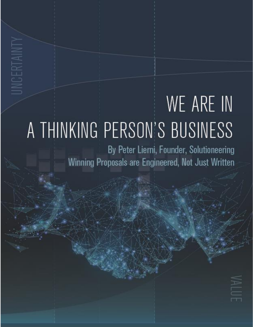## WE ARE IN A THINKING PERSON'S BUSINESS

INCERTAINT

By Peter Lierni, Founder, Solutioneering Winning Proposals are Engineered, Not Just Written

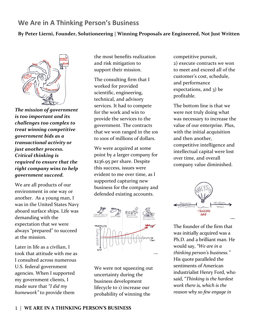## **We Are in A Thinking Person's Business**

## **By Peter Lierni, Founder, Solutioneering | Winning Proposals are Engineered, Not Just Written**



*The mission of government is too important and its challenges too complex to treat winning competitive government bids as a transactional activity or just another process. Critical thinking is required to ensure that the right company wins to help government succeed.*

We are all products of our environment in one way or another. As a young man, I was in the United States Navy aboard surface ships. Life was demanding with the expectation that we were always "prepared" to succeed at the mission.

Later in life as a civilian, I took that attitude with me as I consulted across numerous U.S. federal government agencies. When I supported my government clients, I made sure that *"I did my homework"* to provide them

the most benefits realization and risk mitigation to support their mission.

The consulting firm that I worked for provided scientific, engineering, technical, and advisory services. It had to compete for the work and win to provide the services to the government. The contracts that we won ranged in the 10s to 100s of millions of dollars.

We were acquired at some point by a larger company for \$236.95 per share. Despite this success, issues were evident to me over time, as I supported capturing new business for the company and defended existing accounts.



We were not squeezing out uncertainty during the business development lifecycle to 1) increase our probability of winning the

competitive pursuit, 2) execute contracts we won to meet and exceed all of the customer's cost, schedule, and performance expectations, and 3) be profitable.

The bottom line is that we were not truly doing what was necessary to increase the value of our enterprise. Plus, with the initial acquisition and then another, competitive intelligence and intellectual capital were lost over time, and overall company value diminished.



The founder of the firm that was initially acquired was a Ph.D. and a brilliant man. He would say, *"We are in a thinking person's business."* His quote paralleled the sentiments of American industrialist Henry Ford, who said, "*Thinking is the hardest work there is, which is the reason why so few engage in*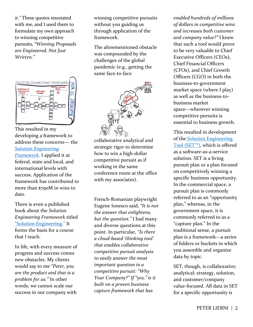*it."* These quotes resonated with me, and I used them to formulate my own approach to winning competitive pursuits, *"Winning Proposals are Engineered, Not Just Written."*



This resulted in my developing a framework to address these concerns― the *[Solution Engineering](https://www.solutioneering.company/)  [Framework](https://www.solutioneering.company/)*. I applied it at federal, state and local, and international levels with success. Application of the framework has contributed to more than \$790M in wins to date.

There is even a published book about the *Solution Engineering Framework* titled "[Solution Engineering.](https://www.amazon.com/Solution-Engineering-Winning-Proposals-Engineered/dp/173377940X/ref=sr_1_1?crid=2D1LD9RTUN3G0&keywords=solution+engineering+book+peter+lierni&qid=1648774650&sprefix=lierni+solu%2Caps%2C489&sr=8-1)" It forms the basis for a course that I teach.

In life, with every measure of progress and success comes new obstacles. My clients would say to me *"Peter, you are the product and that is a problem for us."* In other words, we cannot scale our success in our company with

winning competitive pursuits without you guiding us through application of the framework.

The aforementioned obstacle was compounded by the challenges of the global pandemic (e.g., getting the same face-to-face



collaborative analytical and strategic rigor to determine how to win a high-dollar competitive pursuit as if working in the same conference room at the office with my associates).

French-Romanian playwright Eugene Ionesco said, *"It is not the answer that enlightens, but the question."* I had many and diverse questions at this point. In particular, *"Is there a cloud-based 'thinking tool' that enables collaborative competitive pursuit analysis to easily answer the most important question in a competitive pursuit: "Why Your Company?" If "yes," is it built on a proven business capture framework that has* 

*enabled hundreds of millions of dollars in competitive wins and increases both customer and company value?"* I knew that such a tool would prove to be very valuable to Chief Executive Officers (CEOs), Chief Financial Officers (CFOs), and Chief Growth Officers (CGO) in both the business-to-government market space (where I play) as well as the business-tobusiness market space―wherever winning competitive pursuits is essential to business growth.

This resulted in development of the [Solution Engineering](https://www.solutionengineeringtool.company/)  [Tool \(SET™\)](https://www.solutionengineeringtool.company/), which is offered as a software-as-a-service solution. SET is a living pursuit plan or a plan focused on competitively winning a specific business opportunity. In the commercial space, a pursuit plan is commonly referred to as an "opportunity plan," whereas, in the government space, it is commonly referred to as a "capture plan." In the traditional sense, a pursuit plan is a framework—a series of folders or buckets in which you assemble and organize data by topic.

SET, though, is collaborative; analytical; strategy, solution, and customer/company value-focused. All data in SET for a specific opportunity is